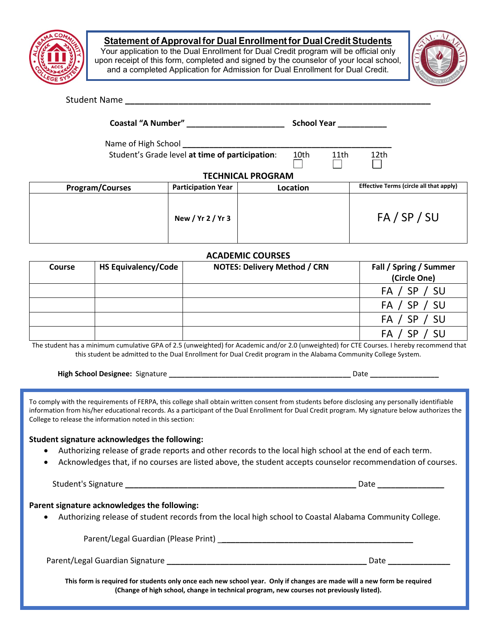

### **Statement of Approvalfor Dual Enrollmentfor Dual Credit Students**

Your application to the Dual Enrollment for Dual Credit program will be official only upon receipt of this form, completed and signed by the counselor of your local school, and a completed Application for Admission for Dual Enrollment for Dual Credit.



#### Student Name **business and the set of the set of the set of the set of the set of the set of the set of the set of the set of the set of the set of the set of the set of the set of the set of the set of the set of the set**

**Coastal "A Number" \_\_\_\_\_\_\_\_\_\_\_\_\_\_\_\_\_\_\_\_\_\_ School Year \_\_\_\_\_\_\_\_\_\_\_**

Name of High School **\_\_\_\_\_\_\_\_\_\_\_\_\_\_\_\_\_\_\_\_\_\_\_\_\_\_\_\_\_\_\_\_\_\_\_\_\_\_\_\_\_\_\_\_\_\_\_**

Student's Grade level at time of participation: 10th 11th 12th

 $\Box$ 

 $\mathbf{I}$ 

### **TECHNICAL PROGRAM**

| <b>Program/Courses</b> | <b>Participation Year</b> | <b>Location</b> | <b>Effective Terms (circle all that apply)</b> |
|------------------------|---------------------------|-----------------|------------------------------------------------|
|                        | New / Yr 2 / Yr 3         |                 | FA / SP / SU                                   |

#### **ACADEMIC COURSES**

| <b>Course</b> | <b>HS Equivalency/Code</b> | <b>NOTES: Delivery Method / CRN</b> | Fall / Spring / Summer |
|---------------|----------------------------|-------------------------------------|------------------------|
|               |                            |                                     | (Circle One)           |
|               |                            |                                     | FA / SP / SU           |
|               |                            |                                     | FA / SP / SU           |
|               |                            |                                     | FA / SP / SU           |
|               |                            |                                     | - SU<br>FA /           |

The student has a minimum cumulative GPA of 2.5 (unweighted) for Academic and/or 2.0 (unweighted) for CTE Courses. I hereby recommend that this student be admitted to the Dual Enrollment for Dual Credit program in the Alabama Community College System.

| High School Designee: Signature | Date |  |
|---------------------------------|------|--|
|---------------------------------|------|--|

To comply with the requirements of FERPA, this college shall obtain written consent from students before disclosing any personally identifiable information from his/her educational records. As a participant of the Dual Enrollment for Dual Credit program. My signature below authorizes the College to release the information noted in this section:

## **Student signature acknowledges the following:**

- Authorizing release of grade reports and other records to the local high school at the end of each term.
- Acknowledges that, if no courses are listed above, the student accepts counselor recommendation of courses.

Student's Signature **\_\_\_\_\_\_\_\_\_\_\_\_\_\_\_\_\_\_\_\_\_\_\_\_\_\_\_\_\_\_\_\_\_\_\_\_\_\_\_\_\_\_\_\_\_\_\_\_\_\_\_\_** Date **\_\_\_\_\_\_\_\_\_\_\_\_\_\_\_**

### **Parent signature acknowledges the following:**

• Authorizing release of student records from the local high school to Coastal Alabama Community College.

Parent/Legal Guardian (Please Print) \_**\_\_\_\_\_\_\_\_\_\_\_\_\_\_\_\_\_\_\_\_\_\_\_\_\_\_\_\_\_\_\_\_\_\_\_\_\_\_\_\_\_\_\_**

Parent/Legal Guardian Signature **\_\_\_\_\_\_\_\_\_\_\_\_\_\_\_\_\_\_\_\_\_\_\_\_\_\_\_\_\_\_\_\_\_\_\_\_\_\_\_\_\_\_\_\_\_** Date **\_\_\_\_\_\_\_\_\_\_\_\_\_\_**

**This form is required for students only once each new school year. Only if changes are made will a new form be required (Change of high school, change in technical program, new courses not previously listed).**